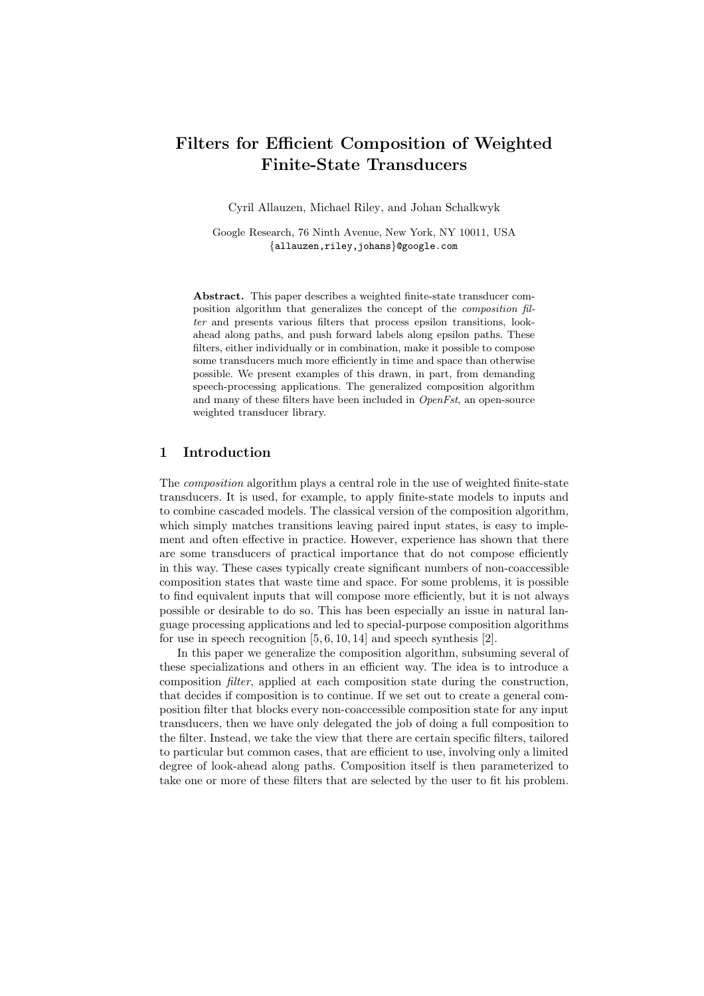# Filters for Efficient Composition of Weighted Finite-State Transducers

Cyril Allauzen, Michael Riley, and Johan Schalkwyk

Google Research, 76 Ninth Avenue, New York, NY 10011, USA {allauzen,riley,johans}@google.com

Abstract. This paper describes a weighted finite-state transducer composition algorithm that generalizes the concept of the composition filter and presents various filters that process epsilon transitions, lookahead along paths, and push forward labels along epsilon paths. These filters, either individually or in combination, make it possible to compose some transducers much more efficiently in time and space than otherwise possible. We present examples of this drawn, in part, from demanding speech-processing applications. The generalized composition algorithm and many of these filters have been included in OpenFst, an open-source weighted transducer library.

# 1 Introduction

The composition algorithm plays a central role in the use of weighted finite-state transducers. It is used, for example, to apply finite-state models to inputs and to combine cascaded models. The classical version of the composition algorithm, which simply matches transitions leaving paired input states, is easy to implement and often effective in practice. However, experience has shown that there are some transducers of practical importance that do not compose efficiently in this way. These cases typically create significant numbers of non-coaccessible composition states that waste time and space. For some problems, it is possible to find equivalent inputs that will compose more efficiently, but it is not always possible or desirable to do so. This has been especially an issue in natural language processing applications and led to special-purpose composition algorithms for use in speech recognition  $[5, 6, 10, 14]$  and speech synthesis  $[2]$ .

In this paper we generalize the composition algorithm, subsuming several of these specializations and others in an efficient way. The idea is to introduce a composition filter, applied at each composition state during the construction, that decides if composition is to continue. If we set out to create a general composition filter that blocks every non-coaccessible composition state for any input transducers, then we have only delegated the job of doing a full composition to the filter. Instead, we take the view that there are certain specific filters, tailored to particular but common cases, that are efficient to use, involving only a limited degree of look-ahead along paths. Composition itself is then parameterized to take one or more of these filters that are selected by the user to fit his problem.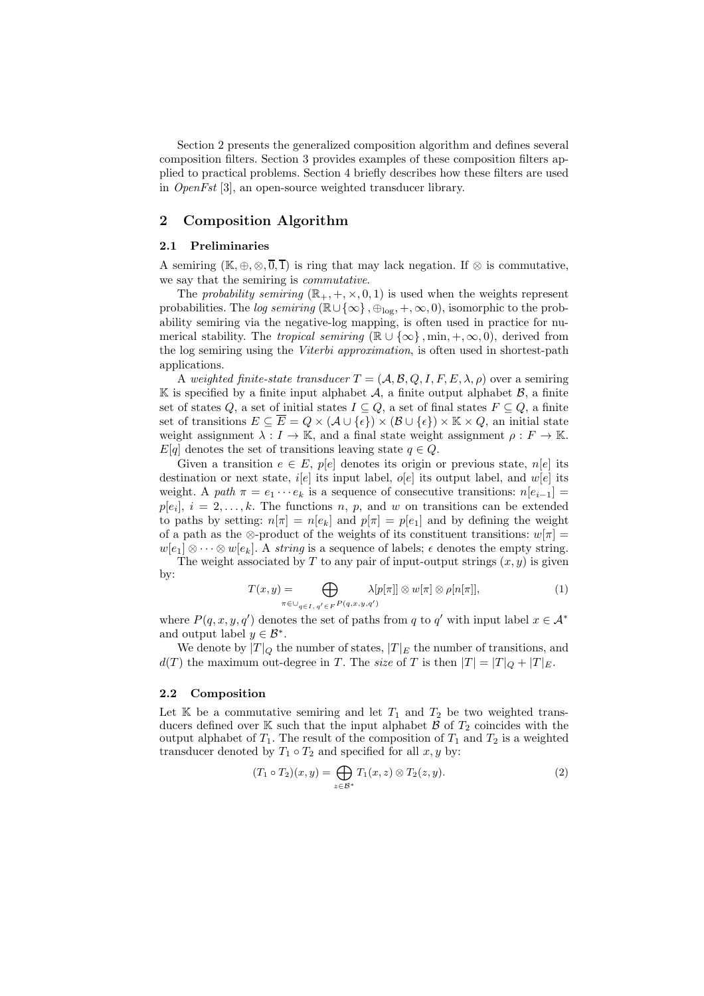Section 2 presents the generalized composition algorithm and defines several composition filters. Section 3 provides examples of these composition filters applied to practical problems. Section 4 briefly describes how these filters are used in OpenFst [3], an open-source weighted transducer library.

## 2 Composition Algorithm

## 2.1 Preliminaries

A semiring  $(\mathbb{K}, \oplus, \otimes, \overline{0}, \overline{1})$  is ring that may lack negation. If  $\otimes$  is commutative, we say that the semiring is commutative.

The probability semiring  $(\mathbb{R}_+, +, \times, 0, 1)$  is used when the weights represent probabilities. The log semiring ( $\mathbb{R}\cup\{\infty\}$ ,  $\oplus_{\text{log}}, +, \infty, 0$ ), isomorphic to the probability semiring via the negative-log mapping, is often used in practice for numerical stability. The *tropical semiring* ( $\mathbb{R} \cup \{\infty\}$ , min, +,  $\infty$ , 0), derived from the log semiring using the *Viterbi approximation*, is often used in shortest-path applications.

A weighted finite-state transducer  $T = (A, B, Q, I, F, E, \lambda, \rho)$  over a semiring  $\mathbb K$  is specified by a finite input alphabet  $\mathcal A$ , a finite output alphabet  $\mathcal B$ , a finite set of states Q, a set of initial states  $I \subseteq Q$ , a set of final states  $F \subseteq Q$ , a finite set of transitions  $E \subseteq \overline{E} = Q \times (A \cup \{\epsilon\}) \times (B \cup \{\epsilon\}) \times \mathbb{K} \times Q$ , an initial state weight assignment  $\lambda : I \to \mathbb{K}$ , and a final state weight assignment  $\rho : F \to \mathbb{K}$ .  $E[q]$  denotes the set of transitions leaving state  $q \in Q$ .

Given a transition  $e \in E$ ,  $p[e]$  denotes its origin or previous state,  $n[e]$  its destination or next state,  $i[e]$  its input label,  $o[e]$  its output label, and  $w[e]$  its weight. A path  $\pi = e_1 \cdots e_k$  is a sequence of consecutive transitions:  $n[e_{i-1}] =$  $p[e_i], i = 2, \ldots, k.$  The functions n, p, and w on transitions can be extended to paths by setting:  $n[\pi] = n[e_k]$  and  $p[\pi] = p[e_1]$  and by defining the weight of a path as the ⊗-product of the weights of its constituent transitions:  $w[\pi] =$  $w[e_1] \otimes \cdots \otimes w[e_k]$ . A string is a sequence of labels;  $\epsilon$  denotes the empty string. The weight associated by T to any pair of input-output strings  $(x, y)$  is given

by:

$$
T(x,y) = \bigoplus_{\pi \in \bigcup_{q \in I, q' \in F} P(q,x,y,q')} \lambda[p[\pi]] \otimes w[\pi] \otimes \rho[n[\pi]],
$$
 (1)

where  $P(q, x, y, q')$  denotes the set of paths from q to q' with input label  $x \in A^*$ and output label  $y \in \mathcal{B}^*$ .

We denote by  $|T|_Q$  the number of states,  $|T|_E$  the number of transitions, and  $d(T)$  the maximum out-degree in T. The size of T is then  $|T| = |T|_Q + |T|_E$ .

#### 2.2 Composition

Let  $\mathbb K$  be a commutative semiring and let  $T_1$  and  $T_2$  be two weighted transducers defined over K such that the input alphabet  $\mathcal{B}$  of  $T_2$  coincides with the output alphabet of  $T_1$ . The result of the composition of  $T_1$  and  $T_2$  is a weighted transducer denoted by  $T_1 \circ T_2$  and specified for all  $x, y$  by:

$$
(T_1 \circ T_2)(x, y) = \bigoplus_{z \in \mathcal{B}^*} T_1(x, z) \otimes T_2(z, y).
$$
 (2)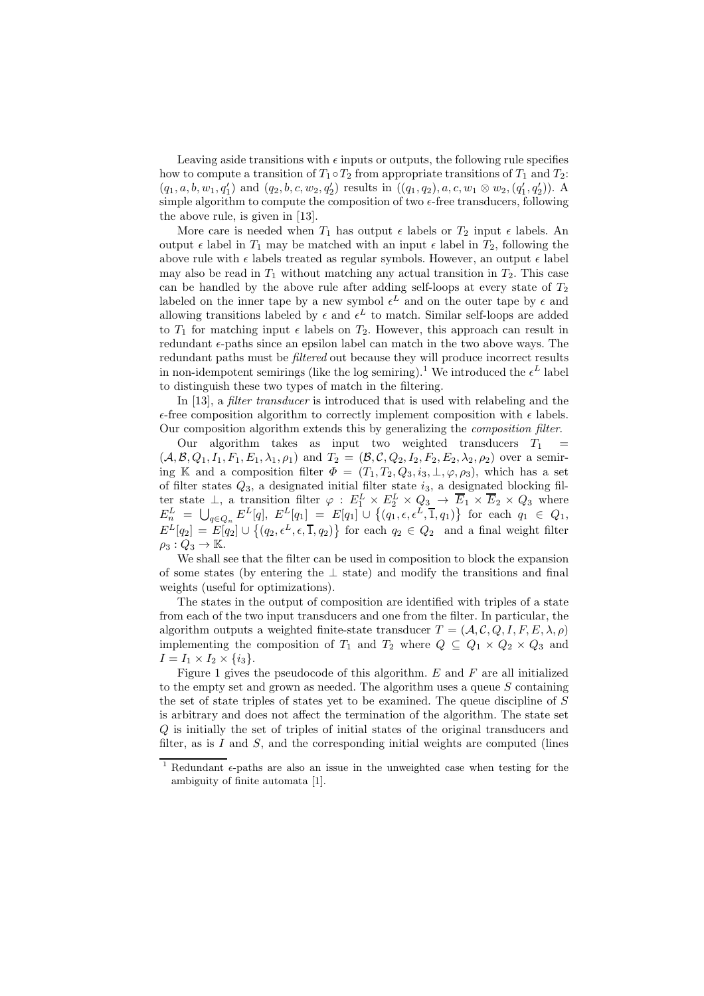Leaving aside transitions with  $\epsilon$  inputs or outputs, the following rule specifies how to compute a transition of  $T_1 \circ T_2$  from appropriate transitions of  $T_1$  and  $T_2$ :  $(q_1, a, b, w_1, q'_1)$  and  $(q_2, b, c, w_2, q'_2)$  results in  $((q_1, q_2), a, c, w_1 \otimes w_2, (q'_1, q'_2))$ . A simple algorithm to compute the composition of two  $\epsilon$ -free transducers, following the above rule, is given in [13].

More care is needed when  $T_1$  has output  $\epsilon$  labels or  $T_2$  input  $\epsilon$  labels. An output  $\epsilon$  label in  $T_1$  may be matched with an input  $\epsilon$  label in  $T_2$ , following the above rule with  $\epsilon$  labels treated as regular symbols. However, an output  $\epsilon$  label may also be read in  $T_1$  without matching any actual transition in  $T_2$ . This case can be handled by the above rule after adding self-loops at every state of  $T_2$ labeled on the inner tape by a new symbol  $\epsilon^L$  and on the outer tape by  $\epsilon$  and allowing transitions labeled by  $\epsilon$  and  $\epsilon^L$  to match. Similar self-loops are added to  $T_1$  for matching input  $\epsilon$  labels on  $T_2$ . However, this approach can result in redundant  $\epsilon$ -paths since an epsilon label can match in the two above ways. The redundant paths must be filtered out because they will produce incorrect results in non-idempotent semirings (like the log semiring).<sup>1</sup> We introduced the  $\epsilon^L$  label to distinguish these two types of match in the filtering.

In [13], a *filter transducer* is introduced that is used with relabeling and the  $\epsilon$ -free composition algorithm to correctly implement composition with  $\epsilon$  labels. Our composition algorithm extends this by generalizing the composition filter.

Our algorithm takes as input two weighted transducers  $T_1$  =  $(A, \mathcal{B}, Q_1, I_1, F_1, E_1, \lambda_1, \rho_1)$  and  $T_2 = (\mathcal{B}, \mathcal{C}, Q_2, I_2, F_2, E_2, \lambda_2, \rho_2)$  over a semiring K and a composition filter  $\Phi = (T_1, T_2, Q_3, i_3, \perp, \varphi, \rho_3)$ , which has a set of filter states  $Q_3$ , a designated initial filter state  $i_3$ , a designated blocking filter state  $\perp$ , a transition filter  $\varphi : E_1^L \times E_2^L \times Q_3 \to \overline{E}_1 \times \overline{E}_2 \times Q_3$  where  $E_n^L = \bigcup_{q \in Q_n} E^L[q], E^L[q_1] = E[q_1] \cup \{(q_1, \epsilon, \epsilon^L, \overline{1}, q_1)\}\$  for each  $q_1 \in Q_1$ ,  $E^L[q_2] = E[q_2] \cup \{(q_2, \epsilon^L, \epsilon, \overline{1}, q_2)\}\$  for each  $q_2 \in Q_2$  and a final weight filter  $\rho_3:Q_3\to\mathbb{K}.$ 

We shall see that the filter can be used in composition to block the expansion of some states (by entering the ⊥ state) and modify the transitions and final weights (useful for optimizations).

The states in the output of composition are identified with triples of a state from each of the two input transducers and one from the filter. In particular, the algorithm outputs a weighted finite-state transducer  $T = (\mathcal{A}, \mathcal{C}, Q, I, F, E, \lambda, \rho)$ implementing the composition of  $T_1$  and  $T_2$  where  $Q \subseteq Q_1 \times Q_2 \times Q_3$  and  $I = I_1 \times I_2 \times \{i_3\}.$ 

Figure 1 gives the pseudocode of this algorithm.  $E$  and  $F$  are all initialized to the empty set and grown as needed. The algorithm uses a queue  $S$  containing the set of state triples of states yet to be examined. The queue discipline of  $S$ is arbitrary and does not affect the termination of the algorithm. The state set Q is initially the set of triples of initial states of the original transducers and filter, as is  $I$  and  $S$ , and the corresponding initial weights are computed (lines

<sup>&</sup>lt;sup>1</sup> Redundant  $\epsilon$ -paths are also an issue in the unweighted case when testing for the ambiguity of finite automata [1].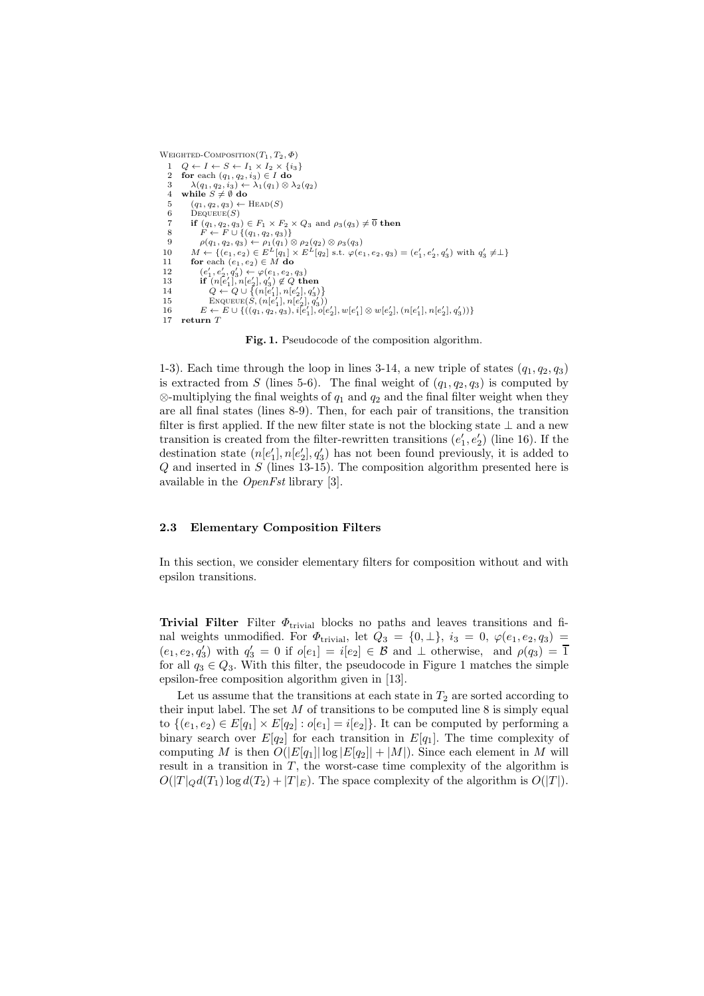```
WEIGHTED-COMPOSITION(T_1, T_2, \Phi)1 Q \leftarrow I \leftarrow S \leftarrow I_1 \times I_2 \times \{i_3\}<br>2 for each (a_1, a_2, i_3) \in I do
   2 for each (q_1, q_2, i_3) \in I do<br>3 \lambda(q_1, q_2, i_3) \leftarrow \lambda_1(q_1) \otimes I3 \lambda(q_1, q_2, i_3) \leftarrow \lambda_1(q_1) \otimes \lambda_2(q_2)<br>4 while S \neq \emptyset do
         \lambda(q_1, q_2, i_3) \leftarrow<br>while S \neq \emptyset do
   5 (q_1, q_2, q_3) \leftarrow \text{HEAD}(S)<br>6 DEQUEUE(S)
             \mathrm{Dequeue}(S)7 if (q_1, q_2, q_3) \in F_1 \times F_2 \times Q_3 and \rho_3(q_3) \neq \overline{0} then
    8 F \leftarrow F \cup \{(q_1, q_2, q_3)\}\<br>9 \rho(q_1, q_2, q_3) \leftarrow \rho_1(q_1) \otimes \rho_2(q_2) \otimes \rho_3(q_3)10 M \leftarrow \{(e_1, e_2) \in E^L[q_1] :<br>11 for each (e_1, e_2) \in M do
                                                   L^L[q_1] \times E^L[q_2] s.t. \varphi(e_1, e_2, q_3) = (e'_1, e'_2, q'_3) with q'_3 \neq \perp12 (e'_1, e'_2, q'_3) \leftarrow \varphi(e_1, e_2, q_3)13 if (n[e'_1], n[e'_2], q'_3) \notin Q then
 14 Q \leftarrow Q \cup \{(n[e'_1], n[e'_2], q'_3)\}\15 ENQUEUE(S, (n[e'_1], n[e'_2], q'_3))16 E \leftarrow E \cup \{((q_1, q_2, q_3), i[e'_1], o[e'_2], w[e'_1] \otimes w[e'_2], (n[e'_1], n[e'_2], q'_3))\}17 return T
```
Fig. 1. Pseudocode of the composition algorithm.

1-3). Each time through the loop in lines 3-14, a new triple of states  $(q_1, q_2, q_3)$ is extracted from S (lines 5-6). The final weight of  $(q_1, q_2, q_3)$  is computed by  $\otimes$ -multiplying the final weights of  $q_1$  and  $q_2$  and the final filter weight when they are all final states (lines 8-9). Then, for each pair of transitions, the transition filter is first applied. If the new filter state is not the blocking state  $\perp$  and a new transition is created from the filter-rewritten transitions  $(e'_1, e'_2)$  (line 16). If the destination state  $(n[e'_1], n[e'_2], q'_3)$  has not been found previously, it is added to  $Q$  and inserted in  $S$  (lines 13-15). The composition algorithm presented here is available in the OpenFst library [3].

#### 2.3 Elementary Composition Filters

In this section, we consider elementary filters for composition without and with epsilon transitions.

**Trivial Filter** Filter  $\Phi_{\text{trivial}}$  blocks no paths and leaves transitions and final weights unmodified. For  $\Phi_{\text{trivial}}$ , let  $Q_3 = \{0, \perp\}$ ,  $i_3 = 0$ ,  $\varphi(e_1, e_2, q_3) =$  $(e_1, e_2, q'_3)$  with  $q'_3 = 0$  if  $o[e_1] = i[e_2] \in \mathcal{B}$  and  $\perp$  otherwise, and  $\rho(q_3) = \overline{1}$ for all  $q_3 \in Q_3$ . With this filter, the pseudocode in Figure 1 matches the simple epsilon-free composition algorithm given in [13].

Let us assume that the transitions at each state in  $T_2$  are sorted according to their input label. The set  $M$  of transitions to be computed line 8 is simply equal to  $\{(e_1, e_2) \in E[q_1] \times E[q_2] : o[e_1] = i[e_2]\}.$  It can be computed by performing a binary search over  $E[q_2]$  for each transition in  $E[q_1]$ . The time complexity of computing M is then  $O(|E[q_1]|\log |E[q_2]| + |M|)$ . Since each element in M will result in a transition in  $T$ , the worst-case time complexity of the algorithm is  $O(|T|_Qd(T_1)\log d(T_2) + |T|_E)$ . The space complexity of the algorithm is  $O(|T|)$ .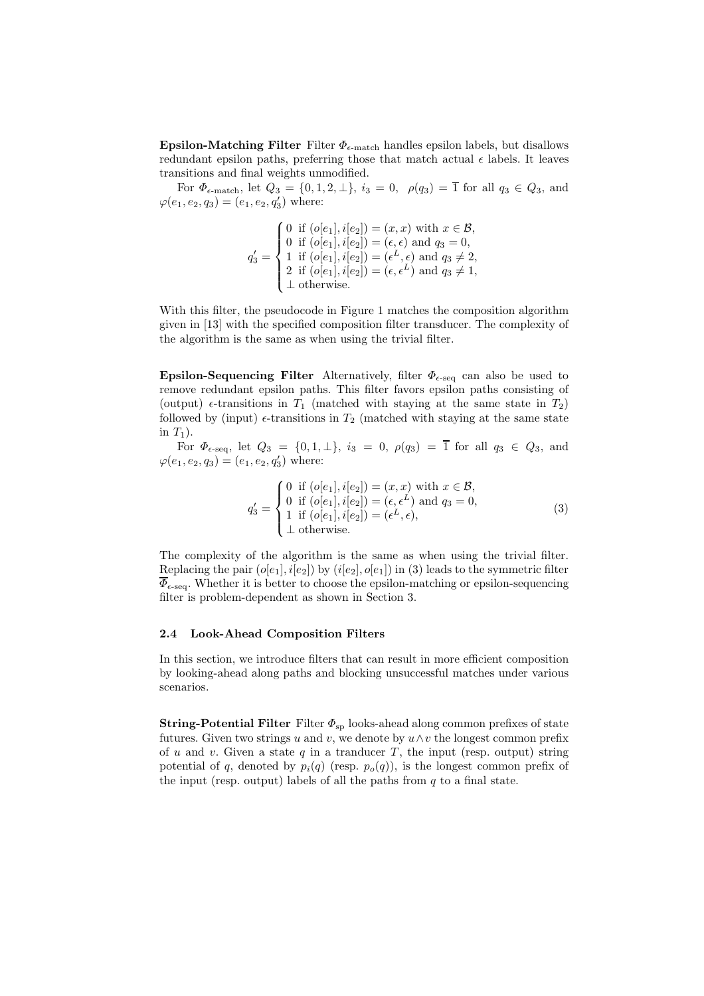**Epsilon-Matching Filter** Filter  $\Phi_{\epsilon-\text{match}}$  handles epsilon labels, but disallows redundant epsilon paths, preferring those that match actual  $\epsilon$  labels. It leaves transitions and final weights unmodified.

For  $\Phi_{\epsilon-\text{match}}$ , let  $Q_3 = \{0, 1, 2, \perp\}$ ,  $i_3 = 0$ ,  $\rho(q_3) = \overline{1}$  for all  $q_3 \in Q_3$ , and  $\varphi(e_1, e_2, q_3) = (e_1, e_2, q'_3)$  where:

$$
q'_3 = \begin{cases} 0 & \text{if } (o[e_1], i[e_2]) = (x, x) \text{ with } x \in \mathcal{B}, \\ 0 & \text{if } (o[e_1], i[e_2]) = (\epsilon, \epsilon) \text{ and } q_3 = 0, \\ 1 & \text{if } (o[e_1], i[e_2]) = (\epsilon^L, \epsilon) \text{ and } q_3 \neq 2, \\ 2 & \text{if } (o[e_1], i[e_2]) = (\epsilon, \epsilon^L) \text{ and } q_3 \neq 1, \\ \bot \text{ otherwise.} \end{cases}
$$

With this filter, the pseudocode in Figure 1 matches the composition algorithm given in [13] with the specified composition filter transducer. The complexity of the algorithm is the same as when using the trivial filter.

Epsilon-Sequencing Filter Alternatively, filter  $\Phi_{\epsilon\text{-seq}}$  can also be used to remove redundant epsilon paths. This filter favors epsilon paths consisting of (output)  $\epsilon$ -transitions in  $T_1$  (matched with staying at the same state in  $T_2$ ) followed by (input)  $\epsilon$ -transitions in  $T_2$  (matched with staying at the same state in  $T_1$ ).

For  $\Phi_{\epsilon\text{-seq}}$ , let  $Q_3 = \{0, 1, \perp\}$ ,  $i_3 = 0$ ,  $\rho(q_3) = \overline{1}$  for all  $q_3 \in Q_3$ , and  $\varphi(e_1, e_2, q_3) = (e_1, e_2, q'_3)$  where:

$$
q'_3 = \begin{cases} 0 & \text{if } (o[e_1], i[e_2]) = (x, x) \text{ with } x \in \mathcal{B}, \\ 0 & \text{if } (o[e_1], i[e_2]) = (\epsilon, \epsilon^L) \text{ and } q_3 = 0, \\ 1 & \text{if } (o[e_1], i[e_2]) = (\epsilon^L, \epsilon), \\ \bot \text{ otherwise.} \end{cases}
$$
(3)

The complexity of the algorithm is the same as when using the trivial filter. Replacing the pair  $(o[e_1], i[e_2])$  by  $(i[e_2], o[e_1])$  in (3) leads to the symmetric filter  $\overline{\Phi}_{\epsilon\text{-seq}}$ . Whether it is better to choose the epsilon-matching or epsilon-sequencing filter is problem-dependent as shown in Section 3.

#### 2.4 Look-Ahead Composition Filters

In this section, we introduce filters that can result in more efficient composition by looking-ahead along paths and blocking unsuccessful matches under various scenarios.

**String-Potential Filter** Filter  $\Phi_{\rm sp}$  looks-ahead along common prefixes of state futures. Given two strings u and v, we denote by  $u \wedge v$  the longest common prefix of u and v. Given a state  $q$  in a tranducer  $T$ , the input (resp. output) string potential of q, denoted by  $p_i(q)$  (resp.  $p_o(q)$ ), is the longest common prefix of the input (resp. output) labels of all the paths from  $q$  to a final state.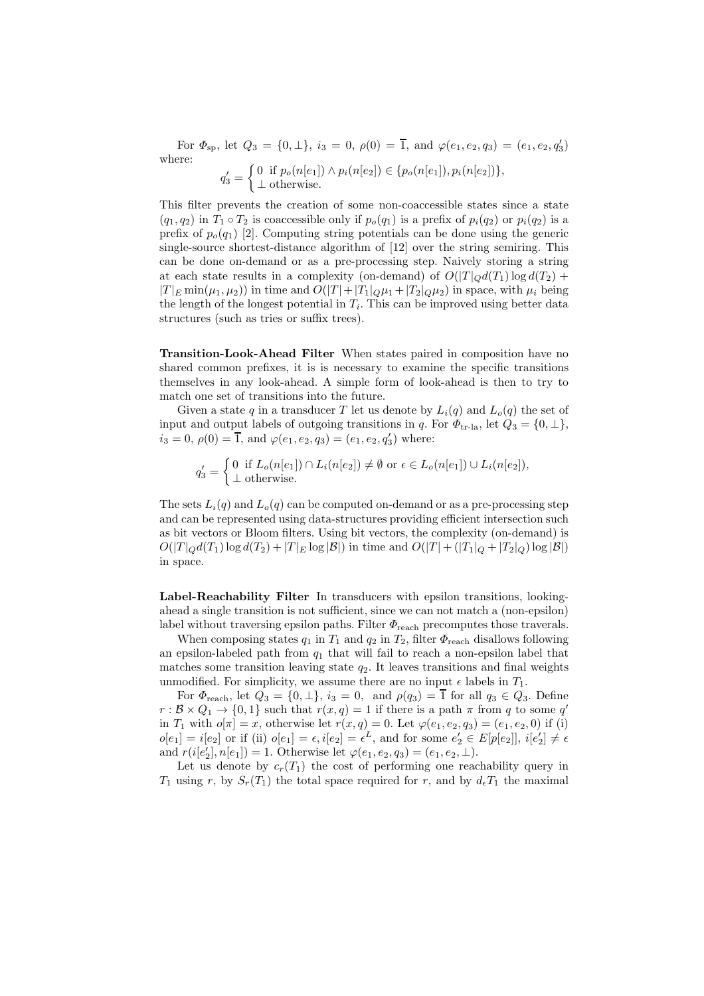For  $\Phi_{\rm sp}$ , let  $Q_3 = \{0, \perp\}$ ,  $i_3 = 0$ ,  $\rho(0) = \overline{1}$ , and  $\varphi(e_1, e_2, q_3) = (e_1, e_2, q'_3)$ where:  $q'_3 = \begin{cases} 0 & \text{if } p_o(n[e_1]) \wedge p_i(n[e_2]) \in \{p_o(n[e_1]), p_i(n[e_2])\}, \\ \perp \text{otherwise} \end{cases}$ ⊥ otherwise.

This filter prevents the creation of some non-coaccessible states since a state  $(q_1, q_2)$  in  $T_1 \circ T_2$  is coaccessible only if  $p_o(q_1)$  is a prefix of  $p_i(q_2)$  or  $p_i(q_2)$  is a prefix of  $p_o(q_1)$  [2]. Computing string potentials can be done using the generic single-source shortest-distance algorithm of [12] over the string semiring. This can be done on-demand or as a pre-processing step. Naively storing a string at each state results in a complexity (on-demand) of  $O(|T|_Qd(T_1)\log d(T_2) +$  $|T|_E \min(\mu_1, \mu_2)$  in time and  $O(|T| + |T_1|_Q\mu_1 + |T_2|_Q\mu_2)$  in space, with  $\mu_i$  being the length of the longest potential in  $T_i$ . This can be improved using better data structures (such as tries or suffix trees).

Transition-Look-Ahead Filter When states paired in composition have no shared common prefixes, it is is necessary to examine the specific transitions themselves in any look-ahead. A simple form of look-ahead is then to try to match one set of transitions into the future.

Given a state q in a transducer T let us denote by  $L_i(q)$  and  $L_o(q)$  the set of input and output labels of outgoing transitions in q. For  $\Phi_{\text{tr-la}}$ , let  $Q_3 = \{0, \perp\},\$  $i_3 = 0, \, \rho(0) = \overline{1}, \text{ and } \varphi(e_1, e_2, q_3) = (e_1, e_2, q'_3) \text{ where: }$ 

$$
q'_3 = \begin{cases} 0 & \text{if } L_o(n[e_1]) \cap L_i(n[e_2]) \neq \emptyset \text{ or } \epsilon \in L_o(n[e_1]) \cup L_i(n[e_2]), \\ \bot \text{ otherwise.} \end{cases}
$$

The sets  $L_i(q)$  and  $L_o(q)$  can be computed on-demand or as a pre-processing step and can be represented using data-structures providing efficient intersection such as bit vectors or Bloom filters. Using bit vectors, the complexity (on-demand) is  $O(|T|_Qd(T_1)\log d(T_2) + |T|_E \log |\mathcal{B}|)$  in time and  $O(|T| + (|T_1|_Q + |T_2|_Q) \log |\mathcal{B}|)$ in space.

Label-Reachability Filter In transducers with epsilon transitions, lookingahead a single transition is not sufficient, since we can not match a (non-epsilon) label without traversing epsilon paths. Filter  $\Phi$ <sub>reach</sub> precomputes those traverals.

When composing states  $q_1$  in  $T_1$  and  $q_2$  in  $T_2$ , filter  $\Phi$ <sub>reach</sub> disallows following an epsilon-labeled path from  $q_1$  that will fail to reach a non-epsilon label that matches some transition leaving state  $q_2$ . It leaves transitions and final weights unmodified. For simplicity, we assume there are no input  $\epsilon$  labels in  $T_1$ .

For  $\Phi_{\text{reach}}$ , let  $Q_3 = \{0, \perp\}$ ,  $i_3 = 0$ , and  $\rho(q_3) = \overline{1}$  for all  $q_3 \in Q_3$ . Define  $r : \mathcal{B} \times Q_1 \to \{0, 1\}$  such that  $r(x, q) = 1$  if there is a path  $\pi$  from q to some q' in  $T_1$  with  $o[\pi] = x$ , otherwise let  $r(x, q) = 0$ . Let  $\varphi(e_1, e_2, q_3) = (e_1, e_2, 0)$  if (i)  $o[e_1] = i[e_2]$  or if (ii)  $o[e_1] = \epsilon, i[e_2] = \epsilon^L$ , and for some  $e'_2 \in E[p[e_2]]$ ,  $i[e'_2] \neq \epsilon$ and  $r(i[e'_2], n[e_1]) = 1$ . Otherwise let  $\varphi(e_1, e_2, q_3) = (e_1, e_2, \perp)$ .

Let us denote by  $c_r(T_1)$  the cost of performing one reachability query in  $T_1$  using r, by  $S_r(T_1)$  the total space required for r, and by  $d_{\epsilon}T_1$  the maximal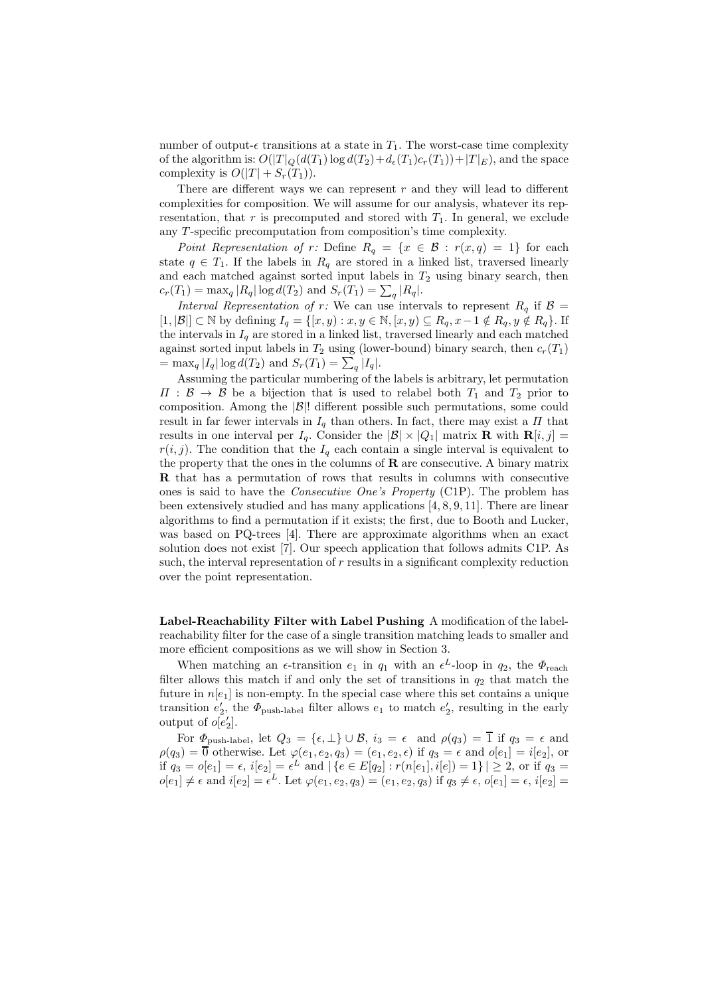number of output- $\epsilon$  transitions at a state in  $T_1$ . The worst-case time complexity of the algorithm is:  $O(|T|_Q(d(T_1)\log d(T_2)+d_{\epsilon}(T_1)c_r(T_1))+|T|_E)$ , and the space complexity is  $O(|T| + S_r(T_1)).$ 

There are different ways we can represent  $r$  and they will lead to different complexities for composition. We will assume for our analysis, whatever its representation, that  $r$  is precomputed and stored with  $T_1$ . In general, we exclude any T -specific precomputation from composition's time complexity.

Point Representation of r: Define  $R_q = \{x \in \mathcal{B} : r(x,q) = 1\}$  for each state  $q \in T_1$ . If the labels in  $R_q$  are stored in a linked list, traversed linearly and each matched against sorted input labels in  $T_2$  using binary search, then  $c_r(T_1) = \max_q |R_q| \log d(T_2)$  and  $S_r(T_1) = \sum_q |R_q|$ .

Interval Representation of r: We can use intervals to represent  $R_q$  if  $\beta =$ [1, |B|] ⊂ N by defining  $I_q = \{ [x, y) : x, y \in \mathbb{N}, [x, y) \subseteq R_q, x-1 \notin R_q, y \notin R_q \}$ . If the intervals in  $I_q$  are stored in a linked list, traversed linearly and each matched against sorted input labels in  $T_2$  using (lower-bound) binary search, then  $c_r(T_1)$  $=$  max<sub>q</sub> | $I_q$ | log  $d(T_2)$  and  $S_r(T_1) = \sum_q |I_q|$ .

Assuming the particular numbering of the labels is arbitrary, let permutation  $\Pi : \mathcal{B} \to \mathcal{B}$  be a bijection that is used to relabel both  $T_1$  and  $T_2$  prior to composition. Among the  $|\mathcal{B}|$ ! different possible such permutations, some could result in far fewer intervals in  $I<sub>a</sub>$  than others. In fact, there may exist a  $\Pi$  that results in one interval per  $I_q$ . Consider the  $|\mathcal{B}| \times |Q_1|$  matrix **R** with **R**[i, j] =  $r(i, j)$ . The condition that the  $I_q$  each contain a single interval is equivalent to the property that the ones in the columns of  **are consecutive. A binary matrix** R that has a permutation of rows that results in columns with consecutive ones is said to have the Consecutive One's Property (C1P). The problem has been extensively studied and has many applications [4, 8, 9, 11]. There are linear algorithms to find a permutation if it exists; the first, due to Booth and Lucker, was based on PQ-trees [4]. There are approximate algorithms when an exact solution does not exist [7]. Our speech application that follows admits C1P. As such, the interval representation of r results in a significant complexity reduction over the point representation.

Label-Reachability Filter with Label Pushing A modification of the labelreachability filter for the case of a single transition matching leads to smaller and more efficient compositions as we will show in Section 3.

When matching an  $\epsilon$ -transition  $e_1$  in  $q_1$  with an  $\epsilon^L$ -loop in  $q_2$ , the  $\Phi$ <sub>reach</sub> filter allows this match if and only the set of transitions in  $q_2$  that match the future in  $n[e_1]$  is non-empty. In the special case where this set contains a unique transition  $e'_2$ , the  $\Phi_{\text{push-label}}$  filter allows  $e_1$  to match  $e'_2$ , resulting in the early output of  $o[e'_2]$ .

For  $\Phi_{\text{push-label}}$ , let  $Q_3 = \{\epsilon, \perp\} \cup \mathcal{B}, i_3 = \epsilon \text{ and } \rho(q_3) = \overline{1}$  if  $q_3 = \epsilon$  and  $\rho(q_3) = \overline{0}$  otherwise. Let  $\varphi(e_1, e_2, q_3) = (e_1, e_2, \epsilon)$  if  $q_3 = \epsilon$  and  $o[e_1] = i[e_2]$ , or if  $q_3 = o[e_1] = \epsilon$ ,  $i[e_2] = \epsilon^L$  and  $|\{e \in E[q_2] : r(n[e_1], i[e]) = 1\}| \geq 2$ , or if  $q_3 =$  $o[e_1] \neq \epsilon$  and  $i[e_2] = \epsilon^L$ . Let  $\varphi(e_1, e_2, q_3) = (e_1, e_2, q_3)$  if  $q_3 \neq \epsilon$ ,  $o[e_1] = \epsilon$ ,  $i[e_2] =$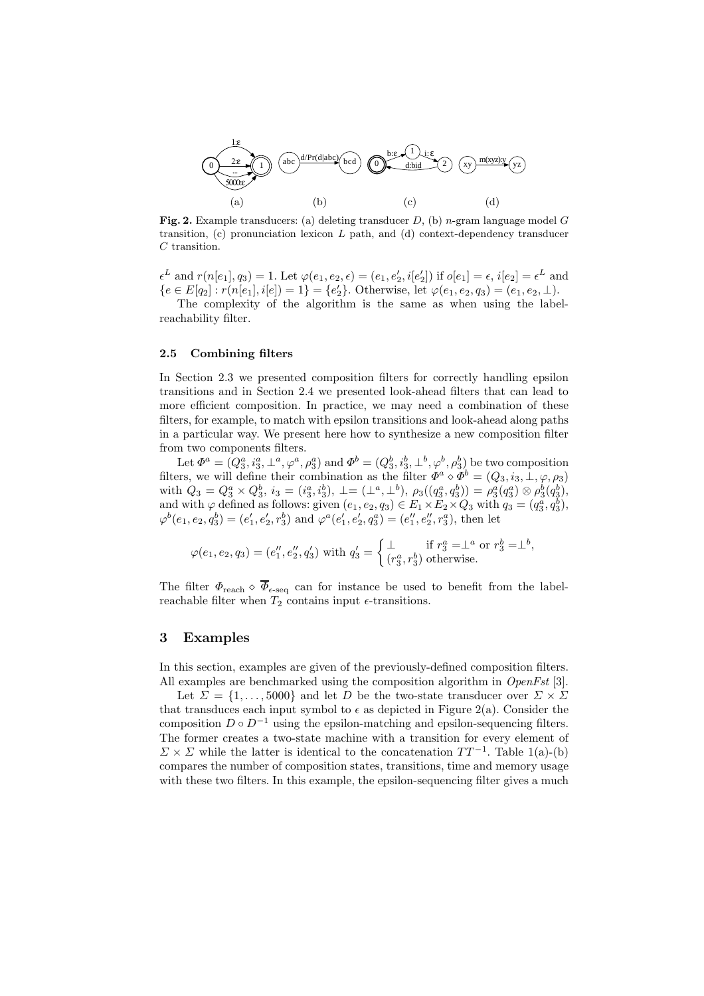

**Fig. 2.** Example transducers: (a) deleting transducer  $D$ , (b) *n*-gram language model  $G$ transition,  $(c)$  pronunciation lexicon  $L$  path, and  $(d)$  context-dependency transducer C transition.

 $\epsilon^L$  and  $r(n[e_1], q_3) = 1$ . Let  $\varphi(e_1, e_2, \epsilon) = (e_1, e'_2, i[e'_2])$  if  $o[e_1] = \epsilon, i[e_2] = \epsilon^L$  and  ${e \in E[q_2] : r(n[e_1], i[e]) = 1} = {e'_2}.$  Otherwise, let  $\varphi(e_1, e_2, q_3) = (e_1, e_2, \perp).$ 

The complexity of the algorithm is the same as when using the labelreachability filter.

#### 2.5 Combining filters

In Section 2.3 we presented composition filters for correctly handling epsilon transitions and in Section 2.4 we presented look-ahead filters that can lead to more efficient composition. In practice, we may need a combination of these filters, for example, to match with epsilon transitions and look-ahead along paths in a particular way. We present here how to synthesize a new composition filter from two components filters.

Let  $\Phi^a = (Q_3^a, i_3^a, \perp^a, \varphi^a, \rho_3^a)$  and  $\Phi^b = (Q_3^b, i_3^b, \perp^b, \varphi^b, \rho_3^b)$  be two composition filters, we will define their combination as the filter  $\Phi^a \circ \Phi^b = (Q_3, i_3, \perp, \varphi, \rho_3)$ with  $Q_3 = Q_3^a \times Q_3^b$ ,  $i_3 = (i_3^a, i_3^b)$ ,  $\perp = (\perp^a, \perp^b)$ ,  $\rho_3((q_3^a, q_3^b)) = \rho_3^a(q_3^a) \otimes \rho_3^b(q_3^b)$ , and with  $\varphi$  defined as follows: given  $(e_1, e_2, q_3) \in E_1 \times E_2 \times Q_3$  with  $q_3 = (q_3^a, q_3^b)$ ,  $\varphi^b(e_1, e_2, q_3^b) = (e'_1, e'_2, r_3^b)$  and  $\varphi^a(e'_1, e'_2, q_3^a) = (e''_1, e''_2, r_3^a)$ , then let

$$
\varphi(e_1, e_2, q_3) = (e_1'', e_2'', q_3') \text{ with } q_3' = \begin{cases} \perp & \text{if } r_3^a = \perp^a \text{ or } r_3^b = \perp^b, \\ (r_3^a, r_3^b) \text{ otherwise.} \end{cases}
$$

The filter  $\Phi_{\text{reach}} \diamond \overline{\Phi}_{\epsilon\text{-seq}}$  can for instance be used to benefit from the labelreachable filter when  $T_2$  contains input  $\epsilon$ -transitions.

## 3 Examples

In this section, examples are given of the previously-defined composition filters. All examples are benchmarked using the composition algorithm in *OpenFst* [3].

Let  $\Sigma = \{1, \ldots, 5000\}$  and let D be the two-state transducer over  $\Sigma \times \Sigma$ that transduces each input symbol to  $\epsilon$  as depicted in Figure 2(a). Consider the composition  $D \circ D^{-1}$  using the epsilon-matching and epsilon-sequencing filters. The former creates a two-state machine with a transition for every element of  $\Sigma \times \Sigma$  while the latter is identical to the concatenation  $TT^{-1}$ . Table 1(a)-(b) compares the number of composition states, transitions, time and memory usage with these two filters. In this example, the epsilon-sequencing filter gives a much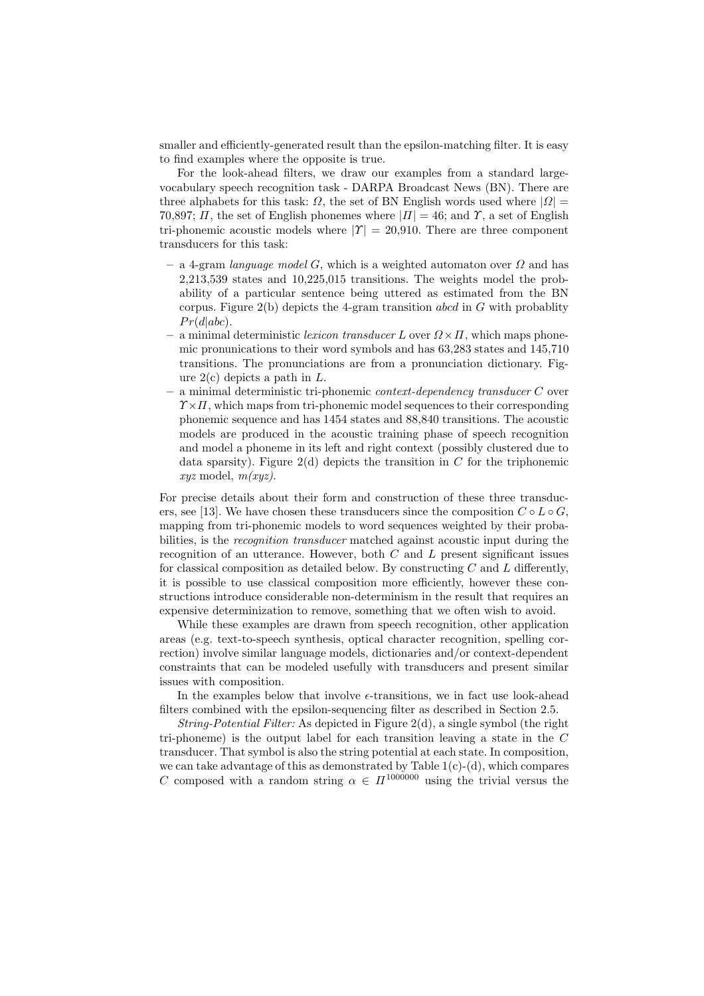smaller and efficiently-generated result than the epsilon-matching filter. It is easy to find examples where the opposite is true.

For the look-ahead filters, we draw our examples from a standard largevocabulary speech recognition task - DARPA Broadcast News (BN). There are three alphabets for this task:  $\Omega$ , the set of BN English words used where  $|\Omega|$  = 70,897;  $\Pi$ , the set of English phonemes where  $|\Pi|=46$ ; and  $\Upsilon$ , a set of English tri-phonemic acoustic models where  $|\Upsilon| = 20,910$ . There are three component transducers for this task:

- a 4-gram *language model G*, which is a weighted automaton over  $\Omega$  and has 2,213,539 states and 10,225,015 transitions. The weights model the probability of a particular sentence being uttered as estimated from the BN corpus. Figure  $2(b)$  depicts the 4-gram transition abcd in G with probablity  $Pr(d|abc)$ .
- a minimal deterministic lexicon transducer L over  $\Omega \times \Pi$ , which maps phonemic pronunications to their word symbols and has 63,283 states and 145,710 transitions. The pronunciations are from a pronunciation dictionary. Figure  $2(c)$  depicts a path in L.
- a minimal deterministic tri-phonemic context-dependency transducer C over  $\gamma \times \pi$ , which maps from tri-phonemic model sequences to their corresponding phonemic sequence and has 1454 states and 88,840 transitions. The acoustic models are produced in the acoustic training phase of speech recognition and model a phoneme in its left and right context (possibly clustered due to data sparsity). Figure 2(d) depicts the transition in  $C$  for the triphonemic  $xyz \text{ model}, m(xyz).$

For precise details about their form and construction of these three transducers, see [13]. We have chosen these transducers since the composition  $C \circ L \circ G$ , mapping from tri-phonemic models to word sequences weighted by their probabilities, is the *recognition transducer* matched against acoustic input during the recognition of an utterance. However, both  $C$  and  $L$  present significant issues for classical composition as detailed below. By constructing  $C$  and  $L$  differently, it is possible to use classical composition more efficiently, however these constructions introduce considerable non-determinism in the result that requires an expensive determinization to remove, something that we often wish to avoid.

While these examples are drawn from speech recognition, other application areas (e.g. text-to-speech synthesis, optical character recognition, spelling correction) involve similar language models, dictionaries and/or context-dependent constraints that can be modeled usefully with transducers and present similar issues with composition.

In the examples below that involve  $\epsilon$ -transitions, we in fact use look-ahead filters combined with the epsilon-sequencing filter as described in Section 2.5.

String-Potential Filter: As depicted in Figure 2(d), a single symbol (the right tri-phoneme) is the output label for each transition leaving a state in the  $C$ transducer. That symbol is also the string potential at each state. In composition, we can take advantage of this as demonstrated by Table  $1(c)-(d)$ , which compares C composed with a random string  $\alpha \in \Pi^{1000000}$  using the trivial versus the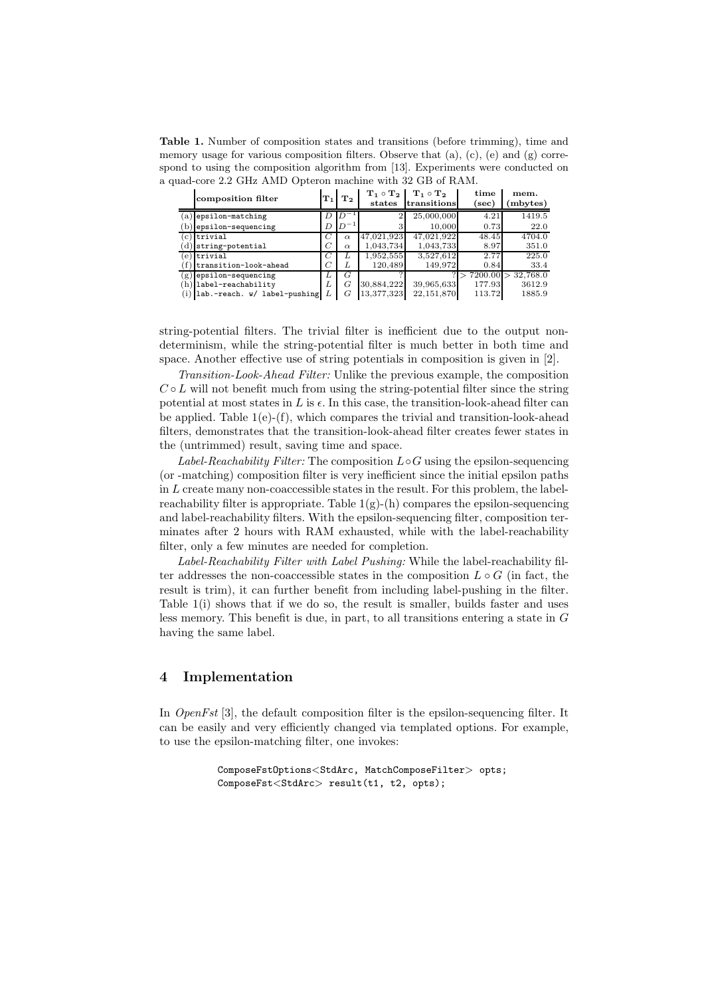Table 1. Number of composition states and transitions (before trimming), time and memory usage for various composition filters. Observe that  $(a)$ ,  $(c)$ ,  $(e)$  and  $(g)$  correspond to using the composition algorithm from [13]. Experiments were conducted on a quad-core 2.2 GHz AMD Opteron machine with 32 GB of RAM.

|              | composition filter           | ${\bf T}_1$    | $\bf{T}_2$   | $T_1 \circ T_2$<br>states | $T_1 \circ T_2$<br>transitions | time<br>$(\sec)$ | mem.<br>mbytes) |
|--------------|------------------------------|----------------|--------------|---------------------------|--------------------------------|------------------|-----------------|
| (a)          | epsilon-matching             | D              | $D^{-1}$     | $\overline{2}$            | 25,000,000                     | 4.21             | 1419.5          |
| (p,          | epsilon-sequencing           | D              | $1D^{-1}$    | $\Omega$<br>۰,            | 10.000                         | 0.73             | 22.0            |
| $^{\circ}$   | trivial                      | C              | $\alpha$     | 47.021.923                | 47.021.922                     | 48.45            | 4704.0          |
|              | string-potential             | C              | $\alpha$     | 1,043,734                 | 1,043,733                      | 8.97             | 351.0           |
| $\epsilon$ ) | trivial                      | C              | $\mathbf{L}$ | 1,952,555                 | 3.527.612                      | 2.77             | 225.0           |
|              | transition-look-ahead        | $\overline{C}$ | L            | 120.489                   | 149.972                        | 0.84             | 33.4            |
|              | $(g)$ epsilon-sequencing     | L              | G            |                           |                                | 7200.00          | 32,768.0        |
| (h           | label-reachability           | L              | G            | 30.884.222                | 39,965,633                     | 177.93           | 3612.9          |
| (i)          | lab.-reach. w/ label-pushing | L              | G            | 13.377.3231               | 22,151,870                     | 113.72           | 1885.9          |

string-potential filters. The trivial filter is inefficient due to the output nondeterminism, while the string-potential filter is much better in both time and space. Another effective use of string potentials in composition is given in [2].

Transition-Look-Ahead Filter: Unlike the previous example, the composition  $C \circ L$  will not benefit much from using the string-potential filter since the string potential at most states in  $L$  is  $\epsilon$ . In this case, the transition-look-ahead filter can be applied. Table  $1(e)$ - $(f)$ , which compares the trivial and transition-look-ahead filters, demonstrates that the transition-look-ahead filter creates fewer states in the (untrimmed) result, saving time and space.

Label-Reachability Filter: The composition  $L \circ G$  using the epsilon-sequencing (or -matching) composition filter is very inefficient since the initial epsilon paths in  $L$  create many non-coaccessible states in the result. For this problem, the labelreachability filter is appropriate. Table  $1(g)$ -(h) compares the epsilon-sequencing and label-reachability filters. With the epsilon-sequencing filter, composition terminates after 2 hours with RAM exhausted, while with the label-reachability filter, only a few minutes are needed for completion.

Label-Reachability Filter with Label Pushing: While the label-reachability filter addresses the non-coaccessible states in the composition  $L \circ G$  (in fact, the result is trim), it can further benefit from including label-pushing in the filter. Table 1(i) shows that if we do so, the result is smaller, builds faster and uses less memory. This benefit is due, in part, to all transitions entering a state in  $G$ having the same label.

## 4 Implementation

In OpenFst [3], the default composition filter is the epsilon-sequencing filter. It can be easily and very efficiently changed via templated options. For example, to use the epsilon-matching filter, one invokes:

```
ComposeFstOptions<StdArc, MatchComposeFilter> opts;
ComposeFst<StdArc> result(t1, t2, opts);
```